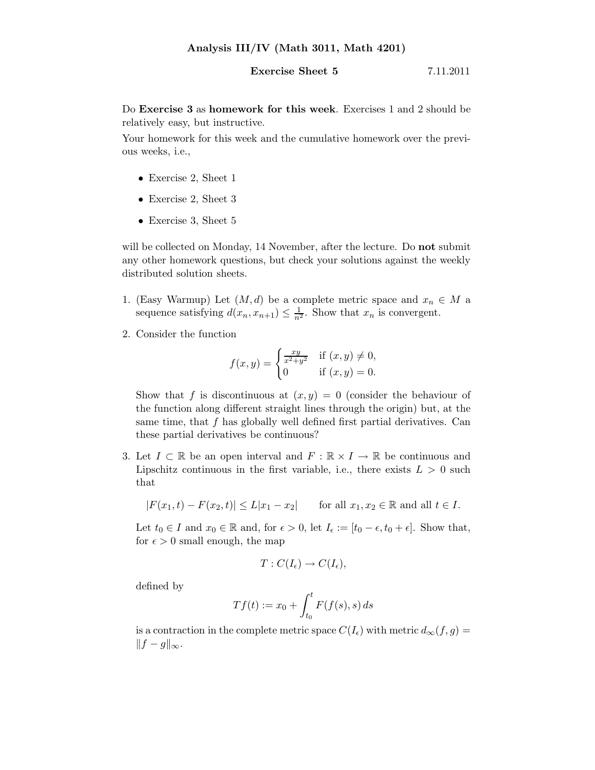## **Exercise Sheet 5** 7.11.2011

Do Exercise 3 as homework for this week. Exercises 1 and 2 should be relatively easy, but instructive.

Your homework for this week and the cumulative homework over the previous weeks, i.e.,

- Exercise 2, Sheet 1
- Exercise 2, Sheet 3
- Exercise 3, Sheet 5

will be collected on Monday, 14 November, after the lecture. Do **not** submit any other homework questions, but check your solutions against the weekly distributed solution sheets.

- 1. (Easy Warmup) Let  $(M, d)$  be a complete metric space and  $x_n \in M$  a sequence satisfying  $d(x_n, x_{n+1}) \leq \frac{1}{n^2}$ . Show that  $x_n$  is convergent.
- 2. Consider the function

$$
f(x,y) = \begin{cases} \frac{xy}{x^2 + y^2} & \text{if } (x,y) \neq 0, \\ 0 & \text{if } (x,y) = 0. \end{cases}
$$

Show that f is discontinuous at  $(x, y) = 0$  (consider the behaviour of the function along different straight lines through the origin) but, at the same time, that  $f$  has globally well defined first partial derivatives. Can these partial derivatives be continuous?

3. Let  $I \subset \mathbb{R}$  be an open interval and  $F : \mathbb{R} \times I \to \mathbb{R}$  be continuous and Lipschitz continuous in the first variable, i.e., there exists  $L > 0$  such that

$$
|F(x_1,t) - F(x_2,t)| \le L|x_1 - x_2|
$$
 for all  $x_1, x_2 \in \mathbb{R}$  and all  $t \in I$ .

Let  $t_0 \in I$  and  $x_0 \in \mathbb{R}$  and, for  $\epsilon > 0$ , let  $I_{\epsilon} := [t_0 - \epsilon, t_0 + \epsilon]$ . Show that, for  $\epsilon > 0$  small enough, the map

$$
T: C(I_{\epsilon}) \to C(I_{\epsilon}),
$$

defined by

$$
Tf(t) := x_0 + \int_{t_0}^t F(f(s), s) ds
$$

is a contraction in the complete metric space  $C(I_{\epsilon})$  with metric  $d_{\infty}(f, g) =$  $||f - g||_{\infty}$ .